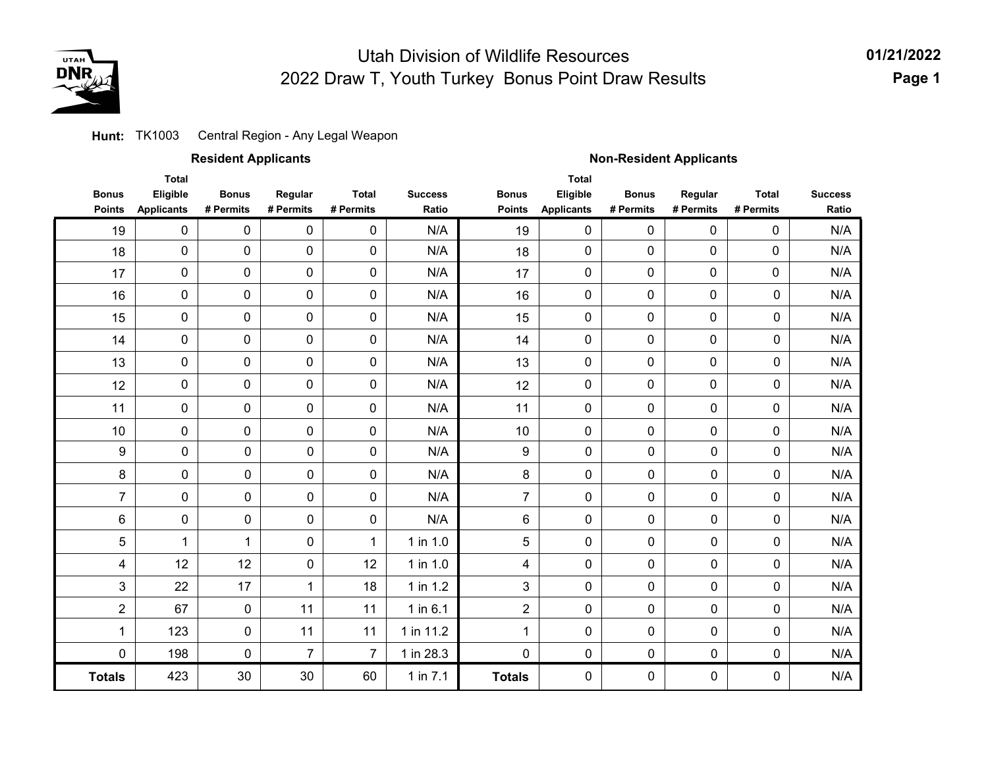

Central Region - Any Legal Weapon **Hunt:** TK1003

|                               |                                               | <b>Resident Applicants</b> |                      |                           |                         | <b>Non-Resident Applicants</b> |                                               |                           |                      |                           |                         |  |
|-------------------------------|-----------------------------------------------|----------------------------|----------------------|---------------------------|-------------------------|--------------------------------|-----------------------------------------------|---------------------------|----------------------|---------------------------|-------------------------|--|
| <b>Bonus</b><br><b>Points</b> | <b>Total</b><br>Eligible<br><b>Applicants</b> | <b>Bonus</b><br># Permits  | Regular<br># Permits | <b>Total</b><br># Permits | <b>Success</b><br>Ratio | <b>Bonus</b><br><b>Points</b>  | <b>Total</b><br>Eligible<br><b>Applicants</b> | <b>Bonus</b><br># Permits | Regular<br># Permits | <b>Total</b><br># Permits | <b>Success</b><br>Ratio |  |
| 19                            | $\pmb{0}$                                     | 0                          | 0                    | $\pmb{0}$                 | N/A                     | 19                             | $\mathbf 0$                                   | $\pmb{0}$                 | $\mathbf 0$          | 0                         | N/A                     |  |
| 18                            | $\pmb{0}$                                     | 0                          | $\pmb{0}$            | $\pmb{0}$                 | N/A                     | 18                             | 0                                             | $\pmb{0}$                 | 0                    | $\pmb{0}$                 | N/A                     |  |
| 17                            | $\pmb{0}$                                     | 0                          | $\pmb{0}$            | $\pmb{0}$                 | N/A                     | 17                             | $\mathbf 0$                                   | $\mathbf 0$               | 0                    | 0                         | N/A                     |  |
| 16                            | $\pmb{0}$                                     | 0                          | $\pmb{0}$            | $\pmb{0}$                 | N/A                     | 16                             | 0                                             | $\pmb{0}$                 | 0                    | 0                         | N/A                     |  |
| 15                            | 0                                             | 0                          | 0                    | 0                         | N/A                     | 15                             | 0                                             | 0                         | 0                    | 0                         | N/A                     |  |
| 14                            | $\pmb{0}$                                     | 0                          | $\pmb{0}$            | $\pmb{0}$                 | N/A                     | 14                             | 0                                             | $\mathbf 0$               | 0                    | 0                         | N/A                     |  |
| 13                            | 0                                             | 0                          | $\pmb{0}$            | $\pmb{0}$                 | N/A                     | 13                             | 0                                             | 0                         | 0                    | 0                         | N/A                     |  |
| 12                            | $\pmb{0}$                                     | $\pmb{0}$                  | $\pmb{0}$            | $\pmb{0}$                 | N/A                     | 12                             | 0                                             | $\pmb{0}$                 | 0                    | 0                         | N/A                     |  |
| 11                            | $\pmb{0}$                                     | 0                          | 0                    | 0                         | N/A                     | 11                             | 0                                             | 0                         | 0                    | $\pmb{0}$                 | N/A                     |  |
| 10                            | 0                                             | 0                          | 0                    | 0                         | N/A                     | 10                             | 0                                             | 0                         | 0                    | $\pmb{0}$                 | N/A                     |  |
| 9                             | 0                                             | $\pmb{0}$                  | 0                    | $\pmb{0}$                 | N/A                     | 9                              | $\pmb{0}$                                     | 0                         | $\pmb{0}$            | 0                         | N/A                     |  |
| 8                             | 0                                             | $\pmb{0}$                  | 0                    | $\pmb{0}$                 | N/A                     | 8                              | 0                                             | 0                         | $\mathbf 0$          | 0                         | N/A                     |  |
| $\overline{7}$                | 0                                             | $\pmb{0}$                  | 0                    | $\pmb{0}$                 | N/A                     | $\overline{7}$                 | $\pmb{0}$                                     | 0                         | $\pmb{0}$            | 0                         | N/A                     |  |
| 6                             | $\pmb{0}$                                     | $\pmb{0}$                  | $\pmb{0}$            | $\pmb{0}$                 | N/A                     | 6                              | $\pmb{0}$                                     | 0                         | $\pmb{0}$            | 0                         | N/A                     |  |
| 5                             | $\mathbf 1$                                   | 1                          | 0                    | 1                         | 1 in 1.0                | 5                              | $\mathbf 0$                                   | $\mathbf 0$               | $\pmb{0}$            | 0                         | N/A                     |  |
| 4                             | 12                                            | 12                         | $\pmb{0}$            | 12                        | 1 in 1.0                | 4                              | $\mathbf 0$                                   | $\mathbf 0$               | $\pmb{0}$            | 0                         | N/A                     |  |
| 3                             | 22                                            | 17                         | $\mathbf 1$          | 18                        | 1 in 1.2                | 3                              | $\pmb{0}$                                     | 0                         | $\pmb{0}$            | 0                         | N/A                     |  |
| $\overline{2}$                | 67                                            | $\pmb{0}$                  | 11                   | 11                        | 1 in 6.1                | $\overline{2}$                 | $\mathbf 0$                                   | 0                         | $\pmb{0}$            | $\pmb{0}$                 | N/A                     |  |
| 1                             | 123                                           | $\pmb{0}$                  | 11                   | 11                        | 1 in 11.2               | 1                              | 0                                             | 0                         | $\pmb{0}$            | 0                         | N/A                     |  |
| $\mathbf 0$                   | 198                                           | $\pmb{0}$                  | $\overline{7}$       | $\overline{7}$            | 1 in 28.3               | 0                              | 0                                             | 0                         | $\pmb{0}$            | 0                         | N/A                     |  |
| <b>Totals</b>                 | 423                                           | 30                         | 30                   | 60                        | 1 in $7.1$              | <b>Totals</b>                  | 0                                             | $\mathbf 0$               | $\mathbf 0$          | 0                         | N/A                     |  |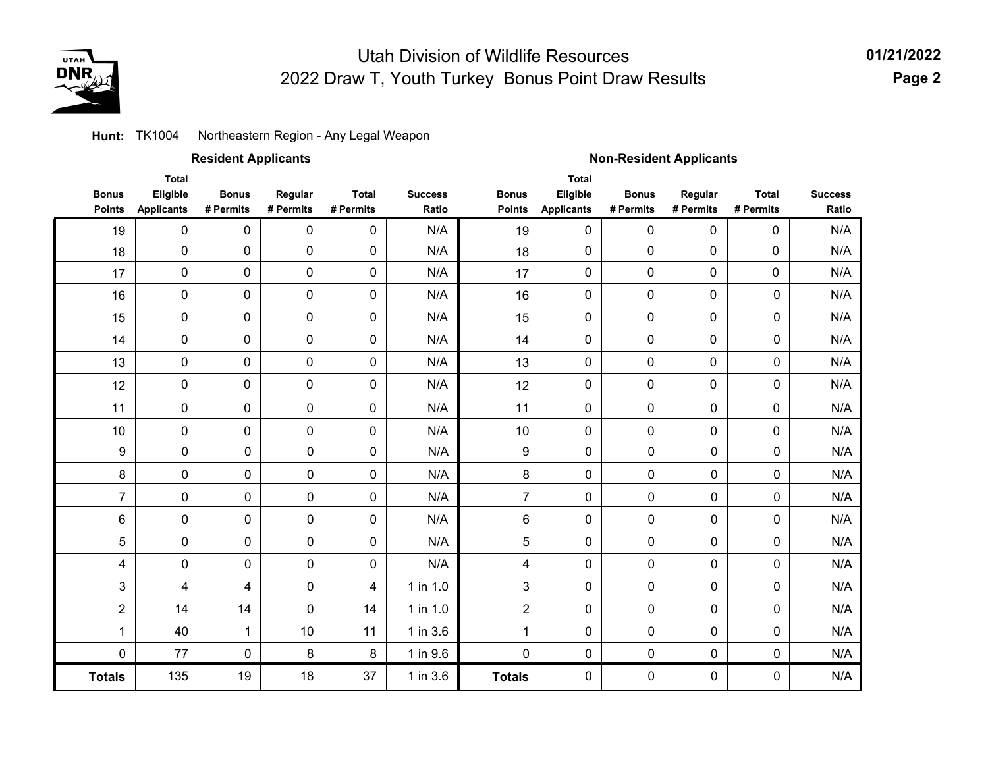

**01/21/2022 Page 2**

#### Northeastern Region - Any Legal Weapon **Hunt:** TK1004

|                               |                                               | <b>Resident Applicants</b> |                      |                           |                         | <b>Non-Resident Applicants</b> |                                        |                           |                      |                           |                         |  |
|-------------------------------|-----------------------------------------------|----------------------------|----------------------|---------------------------|-------------------------|--------------------------------|----------------------------------------|---------------------------|----------------------|---------------------------|-------------------------|--|
| <b>Bonus</b><br><b>Points</b> | <b>Total</b><br>Eligible<br><b>Applicants</b> | <b>Bonus</b><br># Permits  | Regular<br># Permits | <b>Total</b><br># Permits | <b>Success</b><br>Ratio | <b>Bonus</b><br><b>Points</b>  | Total<br>Eligible<br><b>Applicants</b> | <b>Bonus</b><br># Permits | Regular<br># Permits | <b>Total</b><br># Permits | <b>Success</b><br>Ratio |  |
| 19                            | $\mathbf 0$                                   | 0                          | $\mathbf 0$          | $\pmb{0}$                 | N/A                     | 19                             | $\mathbf 0$                            | $\mathbf 0$               | 0                    | $\mathbf 0$               | N/A                     |  |
| 18                            | $\pmb{0}$                                     | 0                          | 0                    | 0                         | N/A                     | 18                             | 0                                      | 0                         | $\pmb{0}$            | $\mathbf 0$               | N/A                     |  |
| 17                            | $\pmb{0}$                                     | $\mathbf 0$                | $\mathbf 0$          | $\pmb{0}$                 | N/A                     | 17                             | $\mathbf 0$                            | $\mathbf 0$               | $\mathbf 0$          | $\mathbf 0$               | N/A                     |  |
| 16                            | 0                                             | 0                          | 0                    | 0                         | N/A                     | 16                             | $\mathbf 0$                            | $\mathbf 0$               | 0                    | $\mathbf 0$               | N/A                     |  |
| 15                            | $\pmb{0}$                                     | 0                          | 0                    | 0                         | N/A                     | 15                             | 0                                      | 0                         | $\pmb{0}$            | $\pmb{0}$                 | N/A                     |  |
| 14                            | $\pmb{0}$                                     | 0                          | 0                    | $\pmb{0}$                 | N/A                     | 14                             | 0                                      | $\mathbf 0$               | $\mathbf 0$          | $\pmb{0}$                 | N/A                     |  |
| 13                            | $\pmb{0}$                                     | 0                          | 0                    | 0                         | N/A                     | 13                             | $\mathbf 0$                            | $\mathbf 0$               | $\mathbf 0$          | $\mathbf 0$               | N/A                     |  |
| 12                            | $\mathbf 0$                                   | 0                          | 0                    | 0                         | N/A                     | 12                             | $\mathbf 0$                            | 0                         | $\mathbf 0$          | $\mathbf 0$               | N/A                     |  |
| 11                            | $\pmb{0}$                                     | 0                          | 0                    | 0                         | N/A                     | 11                             | $\mathsf{O}\xspace$                    | 0                         | $\pmb{0}$            | 0                         | N/A                     |  |
| 10                            | $\pmb{0}$                                     | 0                          | 0                    | 0                         | N/A                     | 10                             | 0                                      | 0                         | $\pmb{0}$            | 0                         | N/A                     |  |
| 9                             | $\pmb{0}$                                     | $\pmb{0}$                  | $\pmb{0}$            | $\mathbf 0$               | N/A                     | 9                              | $\mathbf 0$                            | 0                         | 0                    | $\pmb{0}$                 | N/A                     |  |
| 8                             | $\mathbf 0$                                   | $\pmb{0}$                  | 0                    | 0                         | N/A                     | 8                              | 0                                      | 0                         | 0                    | $\mathbf 0$               | N/A                     |  |
| $\overline{7}$                | $\pmb{0}$                                     | $\pmb{0}$                  | 0                    | 0                         | N/A                     | $\overline{7}$                 | 0                                      | $\mathsf{O}\xspace$       | 0                    | $\pmb{0}$                 | N/A                     |  |
| 6                             | $\pmb{0}$                                     | $\pmb{0}$                  | 0                    | $\pmb{0}$                 | N/A                     | 6                              | $\mathbf 0$                            | 0                         | 0                    | $\pmb{0}$                 | N/A                     |  |
| 5                             | $\mathbf 0$                                   | $\pmb{0}$                  | 0                    | 0                         | N/A                     | 5                              | 0                                      | 0                         | $\mathbf 0$          | $\mathbf 0$               | N/A                     |  |
| 4                             | $\mathbf 0$                                   | $\pmb{0}$                  | 0                    | 0                         | N/A                     | 4                              | 0                                      | $\mathbf 0$               | 0                    | $\mathbf 0$               | N/A                     |  |
| 3                             | 4                                             | 4                          | 0                    | $\overline{\mathbf{4}}$   | 1 in 1.0                | 3                              | $\mathbf 0$                            | 0                         | 0                    | $\pmb{0}$                 | N/A                     |  |
| $\overline{2}$                | 14                                            | 14                         | $\pmb{0}$            | 14                        | 1 in 1.0                | $\overline{2}$                 | 0                                      | 0                         | 0                    | $\pmb{0}$                 | N/A                     |  |
| 1                             | 40                                            | $\mathbf 1$                | 10                   | 11                        | 1 in 3.6                | $\mathbf{1}$                   | 0                                      | $\mathbf 0$               | 0                    | $\mathbf 0$               | N/A                     |  |
| 0                             | 77                                            | $\mathbf 0$                | 8                    | 8                         | 1 in 9.6                | 0                              | 0                                      | 0                         | 0                    | $\mathbf 0$               | N/A                     |  |
| <b>Totals</b>                 | 135                                           | 19                         | 18                   | 37                        | 1 in 3.6                | <b>Totals</b>                  | 0                                      | $\mathbf 0$               | 0                    | $\mathbf 0$               | N/A                     |  |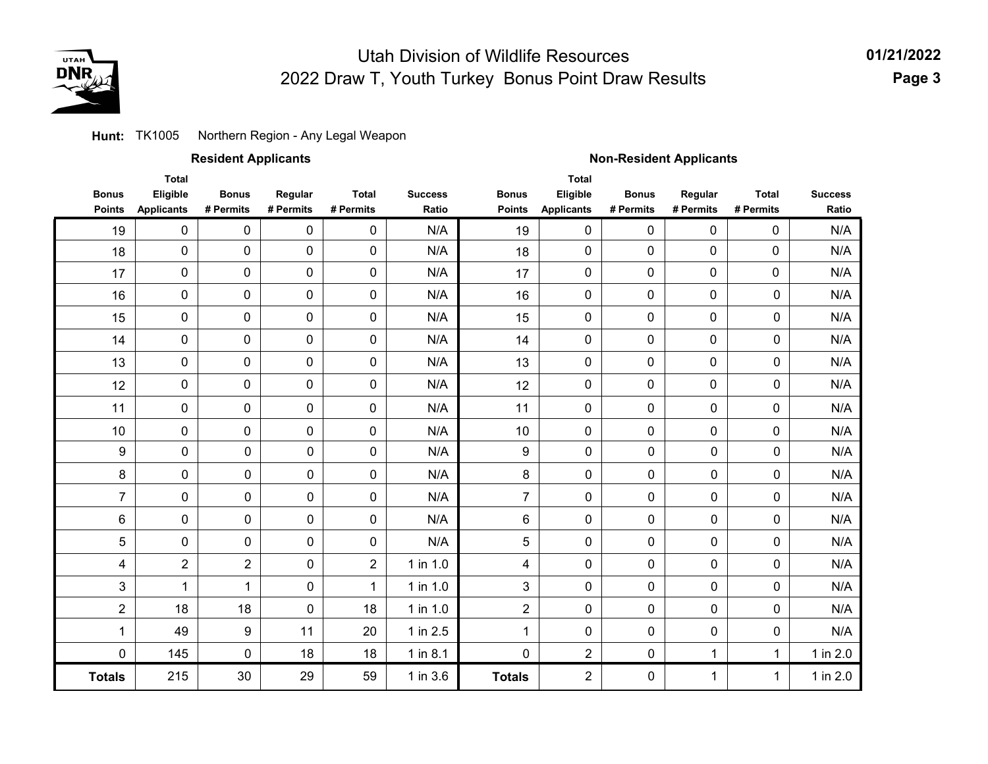

**01/21/2022 Page 3**

### **Hunt:** TK1005 Northern Region - Any Legal Weapon

### **Resident Applicants Non-Resident Applicants**

|                | <b>Total</b>      |                |             |                |                |                         | <b>Total</b>      |              |             |              |                |
|----------------|-------------------|----------------|-------------|----------------|----------------|-------------------------|-------------------|--------------|-------------|--------------|----------------|
| <b>Bonus</b>   | Eligible          | <b>Bonus</b>   | Regular     | <b>Total</b>   | <b>Success</b> | <b>Bonus</b>            | Eligible          | <b>Bonus</b> | Regular     | <b>Total</b> | <b>Success</b> |
| <b>Points</b>  | <b>Applicants</b> | # Permits      | # Permits   | # Permits      | Ratio          | <b>Points</b>           | <b>Applicants</b> | # Permits    | # Permits   | # Permits    | Ratio          |
| 19             | $\pmb{0}$         | $\mathbf 0$    | $\mathbf 0$ | $\mathbf 0$    | N/A            | 19                      | 0                 | 0            | 0           | 0            | N/A            |
| 18             | $\pmb{0}$         | 0              | $\pmb{0}$   | 0              | N/A            | 18                      | 0                 | 0            | 0           | $\pmb{0}$    | N/A            |
| 17             | $\mathbf 0$       | 0              | 0           | $\mathbf 0$    | N/A            | 17                      | 0                 | 0            | 0           | 0            | N/A            |
| 16             | $\pmb{0}$         | 0              | 0           | $\mathbf 0$    | N/A            | 16                      | $\mathbf 0$       | 0            | 0           | $\mathbf 0$  | N/A            |
| 15             | $\pmb{0}$         | $\mathbf 0$    | 0           | $\mathbf 0$    | N/A            | 15                      | 0                 | 0            | 0           | $\mathbf 0$  | N/A            |
| 14             | $\mathbf 0$       | $\mathbf 0$    | $\mathbf 0$ | $\mathbf 0$    | N/A            | 14                      | 0                 | 0            | 0           | $\mathbf 0$  | N/A            |
| 13             | $\pmb{0}$         | 0              | 0           | 0              | N/A            | 13                      | 0                 | 0            | 0           | $\mathbf 0$  | N/A            |
| 12             | $\pmb{0}$         | 0              | 0           | $\mathbf 0$    | N/A            | 12                      | 0                 | 0            | 0           | $\mathbf 0$  | N/A            |
| 11             | $\pmb{0}$         | 0              | $\mathbf 0$ | $\mathbf 0$    | N/A            | 11                      | 0                 | 0            | $\mathbf 0$ | 0            | N/A            |
| 10             | $\mathbf 0$       | 0              | $\mathbf 0$ | $\mathbf 0$    | N/A            | 10                      | 0                 | 0            | $\mathbf 0$ | 0            | N/A            |
| 9              | 0                 | $\mathbf 0$    | $\mathbf 0$ | $\mathbf 0$    | N/A            | $\boldsymbol{9}$        | 0                 | $\mathbf 0$  | $\mathbf 0$ | $\mathbf 0$  | N/A            |
| 8              | 0                 | $\mathbf 0$    | 0           | 0              | N/A            | 8                       | 0                 | $\mathbf 0$  | $\mathbf 0$ | $\mathbf 0$  | N/A            |
| $\overline{7}$ | $\pmb{0}$         | 0              | $\mathbf 0$ | 0              | N/A            | $\overline{7}$          | $\pmb{0}$         | $\pmb{0}$    | $\pmb{0}$   | $\pmb{0}$    | N/A            |
| 6              | $\pmb{0}$         | 0              | $\mathbf 0$ | $\mathbf 0$    | N/A            | 6                       | 0                 | $\pmb{0}$    | $\mathbf 0$ | $\mathbf 0$  | N/A            |
| 5              | $\mathbf 0$       | $\mathbf 0$    | $\mathbf 0$ | $\mathbf 0$    | N/A            | 5                       | 0                 | $\mathbf 0$  | $\mathbf 0$ | $\mathbf 0$  | N/A            |
| 4              | $\boldsymbol{2}$  | $\overline{2}$ | $\mathbf 0$ | $\overline{c}$ | 1 in 1.0       | $\overline{\mathbf{4}}$ | $\pmb{0}$         | $\mathbf 0$  | $\mathbf 0$ | $\mathbf 0$  | N/A            |
| 3              | $\mathbf 1$       | $\mathbf{1}$   | $\mathbf 0$ | $\mathbf{1}$   | 1 in 1.0       | 3                       | 0                 | $\mathbf 0$  | $\mathbf 0$ | $\mathbf 0$  | N/A            |
| $\overline{2}$ | 18                | 18             | $\mathbf 0$ | 18             | 1 in $1.0$     | $\overline{2}$          | 0                 | 0            | $\mathbf 0$ | $\mathbf 0$  | N/A            |
| $\mathbf 1$    | 49                | 9              | 11          | 20             | 1 in 2.5       | $\mathbf{1}$            | 0                 | $\pmb{0}$    | 0           | $\pmb{0}$    | N/A            |
| 0              | 145               | $\mathbf 0$    | 18          | 18             | $1$ in $8.1$   | 0                       | $\overline{2}$    | 0            | 1           | $\mathbf 1$  | 1 in 2.0       |
| <b>Totals</b>  | 215               | 30             | 29          | 59             | 1 in 3.6       | <b>Totals</b>           | $\overline{2}$    | 0            | 1           | $\mathbf{1}$ | 1 in 2.0       |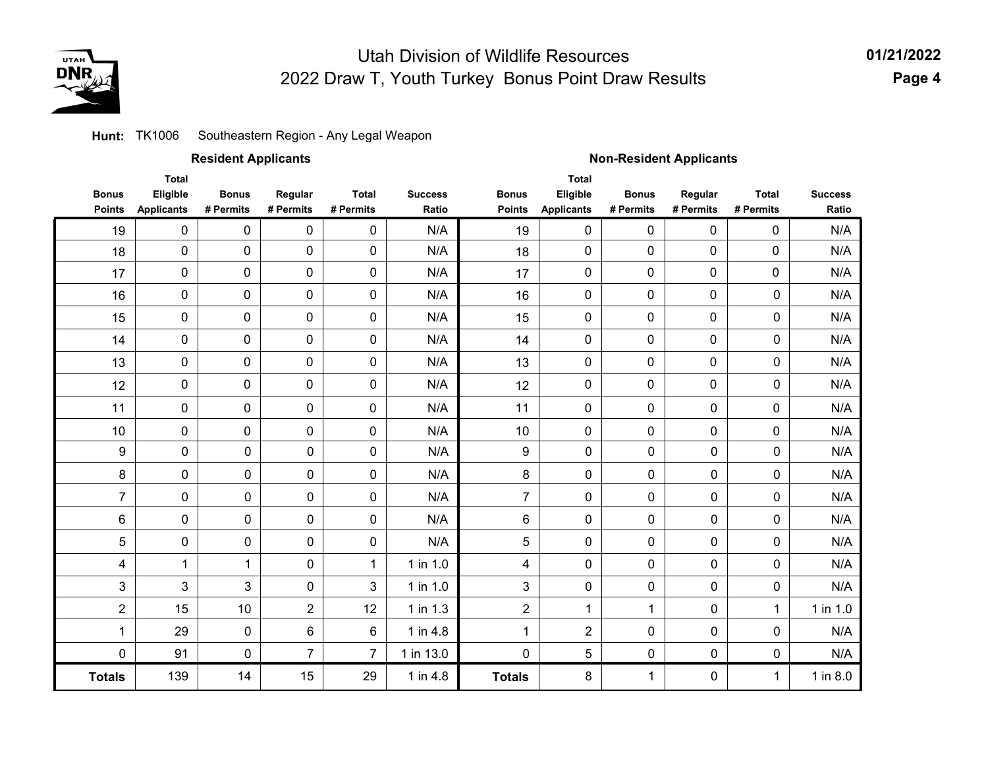

#### Southeastern Region - Any Legal Weapon **Hunt:** TK1006

|                               |                                               | <b>Resident Applicants</b> |                      |                           |                         | <b>Non-Resident Applicants</b> |                                               |                           |                      |                           |                         |  |
|-------------------------------|-----------------------------------------------|----------------------------|----------------------|---------------------------|-------------------------|--------------------------------|-----------------------------------------------|---------------------------|----------------------|---------------------------|-------------------------|--|
| <b>Bonus</b><br><b>Points</b> | <b>Total</b><br>Eligible<br><b>Applicants</b> | <b>Bonus</b><br># Permits  | Regular<br># Permits | <b>Total</b><br># Permits | <b>Success</b><br>Ratio | <b>Bonus</b><br><b>Points</b>  | <b>Total</b><br>Eligible<br><b>Applicants</b> | <b>Bonus</b><br># Permits | Regular<br># Permits | <b>Total</b><br># Permits | <b>Success</b><br>Ratio |  |
| 19                            | $\pmb{0}$                                     | $\pmb{0}$                  | $\pmb{0}$            | $\pmb{0}$                 | N/A                     | 19                             | $\pmb{0}$                                     | 0                         | $\pmb{0}$            | 0                         | N/A                     |  |
| 18                            | 0                                             | $\pmb{0}$                  | $\pmb{0}$            | $\pmb{0}$                 | N/A                     | 18                             | $\mathbf 0$                                   | 0                         | 0                    | 0                         | N/A                     |  |
| 17                            | 0                                             | $\pmb{0}$                  | $\pmb{0}$            | $\pmb{0}$                 | N/A                     | 17                             | 0                                             | $\pmb{0}$                 | 0                    | 0                         | N/A                     |  |
| 16                            | 0                                             | $\pmb{0}$                  | $\pmb{0}$            | $\pmb{0}$                 | N/A                     | 16                             | 0                                             | 0                         | 0                    | $\pmb{0}$                 | N/A                     |  |
| 15                            | 0                                             | $\pmb{0}$                  | $\pmb{0}$            | $\pmb{0}$                 | N/A                     | 15                             | 0                                             | 0                         | 0                    | $\pmb{0}$                 | N/A                     |  |
| 14                            | $\pmb{0}$                                     | $\pmb{0}$                  | $\mathbf 0$          | $\pmb{0}$                 | N/A                     | 14                             | 0                                             | 0                         | 0                    | $\pmb{0}$                 | N/A                     |  |
| 13                            | 0                                             | $\pmb{0}$                  | $\pmb{0}$            | $\pmb{0}$                 | N/A                     | 13                             | 0                                             | 0                         | 0                    | $\pmb{0}$                 | N/A                     |  |
| 12                            | 0                                             | $\mathbf 0$                | $\mathbf 0$          | $\pmb{0}$                 | N/A                     | 12                             | 0                                             | 0                         | 0                    | $\mathbf 0$               | N/A                     |  |
| 11                            | 0                                             | $\pmb{0}$                  | $\pmb{0}$            | $\pmb{0}$                 | N/A                     | 11                             | 0                                             | 0                         | 0                    | 0                         | N/A                     |  |
| 10                            | 0                                             | 0                          | $\pmb{0}$            | $\pmb{0}$                 | N/A                     | 10                             | 0                                             | 0                         | 0                    | 0                         | N/A                     |  |
| 9                             | $\pmb{0}$                                     | 0                          | $\pmb{0}$            | $\pmb{0}$                 | N/A                     | $\boldsymbol{9}$               | $\mathbf 0$                                   | 0                         | $\pmb{0}$            | $\pmb{0}$                 | N/A                     |  |
| 8                             | 0                                             | 0                          | 0                    | $\pmb{0}$                 | N/A                     | 8                              | $\mathbf 0$                                   | 0                         | 0                    | $\pmb{0}$                 | N/A                     |  |
| $\overline{7}$                | $\pmb{0}$                                     | 0                          | 0                    | $\pmb{0}$                 | N/A                     | $\overline{7}$                 | $\mathbf 0$                                   | 0                         | $\mathbf 0$          | $\mathbf 0$               | N/A                     |  |
| 6                             | 0                                             | 0                          | $\pmb{0}$            | $\pmb{0}$                 | N/A                     | 6                              | $\pmb{0}$                                     | $\pmb{0}$                 | 0                    | $\pmb{0}$                 | N/A                     |  |
| 5                             | 0                                             | 0                          | $\mathbf 0$          | $\pmb{0}$                 | N/A                     | 5                              | $\mathbf 0$                                   | 0                         | 0                    | $\pmb{0}$                 | N/A                     |  |
| 4                             | $\mathbf{1}$                                  | $\mathbf{1}$               | 0                    | $\mathbf{1}$              | 1 in 1.0                | 4                              | $\pmb{0}$                                     | 0                         | 0                    | $\pmb{0}$                 | N/A                     |  |
| 3                             | 3                                             | 3                          | 0                    | 3                         | 1 in 1.0                | 3                              | $\pmb{0}$                                     | 0                         | 0                    | $\pmb{0}$                 | N/A                     |  |
| $\overline{2}$                | 15                                            | 10                         | $\overline{2}$       | 12                        | 1 in 1.3                | $\overline{2}$                 | 1                                             | 1                         | 0                    | $\mathbf{1}$              | 1 in 1.0                |  |
| 1                             | 29                                            | 0                          | 6                    | $\,6\,$                   | 1 in 4.8                | 1                              | $\overline{2}$                                | 0                         | 0                    | $\pmb{0}$                 | N/A                     |  |
| 0                             | 91                                            | 0                          | $\overline{7}$       | $\overline{7}$            | 1 in 13.0               | $\overline{0}$                 | 5                                             | $\mathbf 0$               | $\mathbf 0$          | $\pmb{0}$                 | N/A                     |  |
| <b>Totals</b>                 | 139                                           | 14                         | 15                   | 29                        | 1 in 4.8                | <b>Totals</b>                  | 8                                             | 1                         | 0                    | 1                         | $1$ in $8.0$            |  |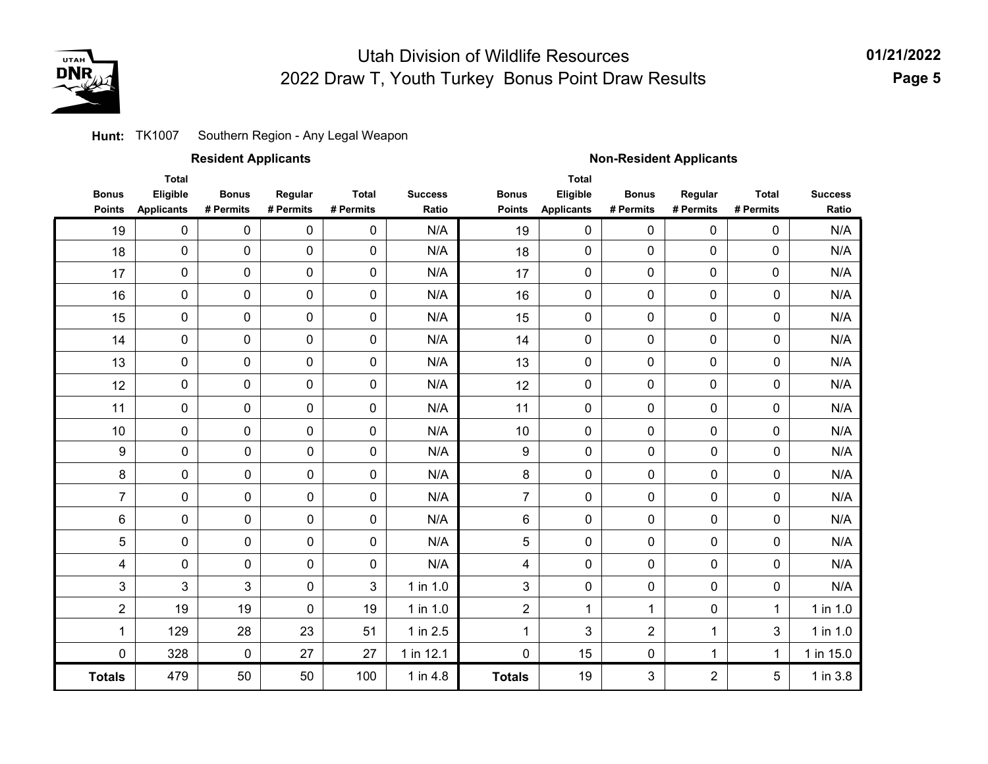

#### Southern Region - Any Legal Weapon **Hunt:** TK1007

|                               |                                               | <b>Resident Applicants</b> |                      |                           |                         | <b>Non-Resident Applicants</b> |                                               |                           |                      |                           |                         |  |
|-------------------------------|-----------------------------------------------|----------------------------|----------------------|---------------------------|-------------------------|--------------------------------|-----------------------------------------------|---------------------------|----------------------|---------------------------|-------------------------|--|
| <b>Bonus</b><br><b>Points</b> | <b>Total</b><br>Eligible<br><b>Applicants</b> | <b>Bonus</b><br># Permits  | Regular<br># Permits | <b>Total</b><br># Permits | <b>Success</b><br>Ratio | <b>Bonus</b><br><b>Points</b>  | <b>Total</b><br>Eligible<br><b>Applicants</b> | <b>Bonus</b><br># Permits | Regular<br># Permits | <b>Total</b><br># Permits | <b>Success</b><br>Ratio |  |
| 19                            | $\mathbf 0$                                   | $\pmb{0}$                  | $\pmb{0}$            | 0                         | N/A                     | 19                             | 0                                             | 0                         | $\mathbf 0$          | 0                         | N/A                     |  |
| 18                            | $\pmb{0}$                                     | 0                          | $\pmb{0}$            | 0                         | N/A                     | 18                             | 0                                             | 0                         | $\mathbf 0$          | 0                         | N/A                     |  |
| 17                            | 0                                             | 0                          | 0                    | 0                         | N/A                     | 17                             | 0                                             | 0                         | $\mathbf 0$          | 0                         | N/A                     |  |
| 16                            | 0                                             | 0                          | 0                    | 0                         | N/A                     | 16                             | 0                                             | 0                         | $\mathbf 0$          | 0                         | N/A                     |  |
| 15                            | 0                                             | 0                          | 0                    | 0                         | N/A                     | 15                             | 0                                             | 0                         | $\mathbf 0$          | 0                         | N/A                     |  |
| 14                            | 0                                             | 0                          | 0                    | 0                         | N/A                     | 14                             | 0                                             | 0                         | $\mathsf{O}\xspace$  | 0                         | N/A                     |  |
| 13                            | 0                                             | 0                          | 0                    | 0                         | N/A                     | 13                             | 0                                             | 0                         | $\mathbf 0$          | 0                         | N/A                     |  |
| 12                            | $\pmb{0}$                                     | 0                          | $\pmb{0}$            | 0                         | N/A                     | 12                             | 0                                             | 0                         | $\mathbf 0$          | 0                         | N/A                     |  |
| 11                            | 0                                             | 0                          | 0                    | $\pmb{0}$                 | N/A                     | 11                             | 0                                             | 0                         | 0                    | 0                         | N/A                     |  |
| 10                            | 0                                             | 0                          | 0                    | 0                         | N/A                     | 10                             | 0                                             | 0                         | 0                    | 0                         | N/A                     |  |
| 9                             | $\pmb{0}$                                     | $\pmb{0}$                  | 0                    | 0                         | N/A                     | 9                              | 0                                             | 0                         | 0                    | 0                         | N/A                     |  |
| 8                             | $\pmb{0}$                                     | 0                          | 0                    | 0                         | N/A                     | 8                              | 0                                             | 0                         | 0                    | 0                         | N/A                     |  |
| $\overline{7}$                | $\pmb{0}$                                     | 0                          | 0                    | 0                         | N/A                     | $\overline{7}$                 | 0                                             | 0                         | 0                    | 0                         | N/A                     |  |
| 6                             | 0                                             | 0                          | 0                    | 0                         | N/A                     | 6                              | 0                                             | 0                         | 0                    | 0                         | N/A                     |  |
| 5                             | 0                                             | 0                          | 0                    | 0                         | N/A                     | 5                              | 0                                             | 0                         | 0                    | 0                         | N/A                     |  |
| 4                             | $\pmb{0}$                                     | $\pmb{0}$                  | 0                    | 0                         | N/A                     | 4                              | 0                                             | 0                         | 0                    | 0                         | N/A                     |  |
| 3                             | 3                                             | 3                          | 0                    | 3                         | 1 in 1.0                | 3                              | 0                                             | 0                         | 0                    | 0                         | N/A                     |  |
| $\overline{c}$                | 19                                            | 19                         | 0                    | 19                        | 1 in 1.0                | $\overline{2}$                 | $\mathbf{1}$                                  | $\mathbf{1}$              | 0                    | 1                         | 1 in 1.0                |  |
| 1                             | 129                                           | 28                         | 23                   | 51                        | 1 in 2.5                | 1                              | 3                                             | $\overline{2}$            | 1                    | 3                         | 1 in 1.0                |  |
| $\pmb{0}$                     | 328                                           | 0                          | 27                   | 27                        | 1 in 12.1               | 0                              | 15                                            | 0                         | 1                    | $\mathbf 1$               | 1 in 15.0               |  |
| <b>Totals</b>                 | 479                                           | 50                         | 50                   | 100                       | 1 in 4.8                | <b>Totals</b>                  | 19                                            | 3                         | 2                    | 5                         | $1$ in $3.8$            |  |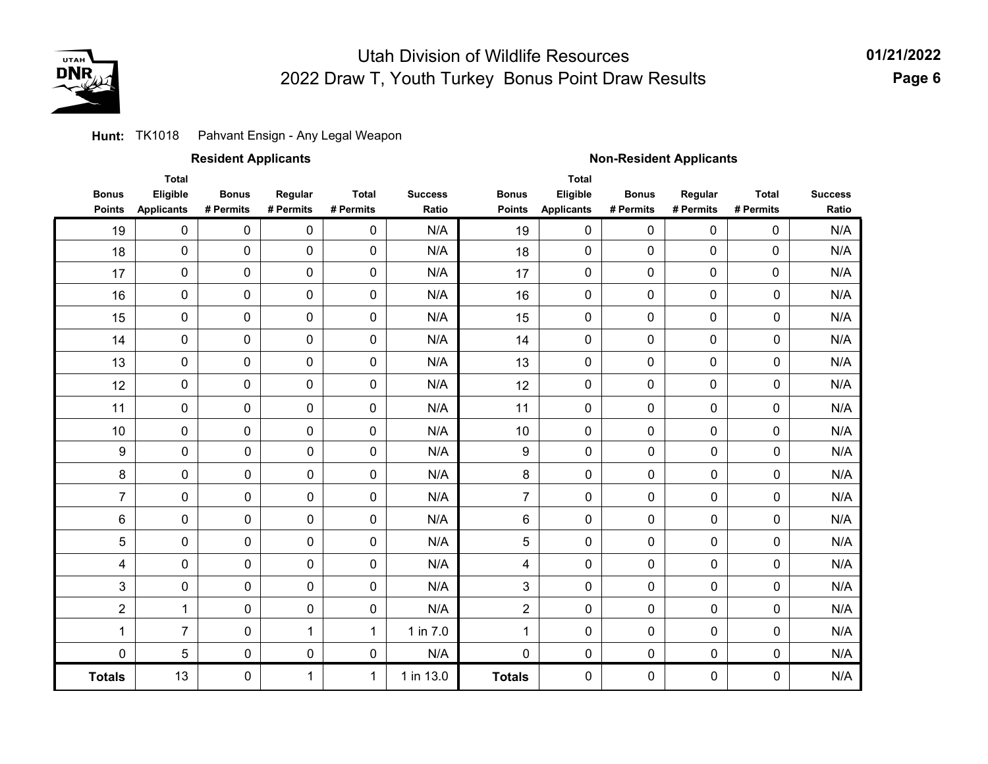

### **Hunt:** TK1018 Pahvant Ensign - Any Legal Weapon

**Totals**

0

1

|                               |                                               | <b>Resident Applicants</b> |                      |                           |                         | <b>Non-Resident Applicants</b> |                                               |                           |                      |                           |                         |  |
|-------------------------------|-----------------------------------------------|----------------------------|----------------------|---------------------------|-------------------------|--------------------------------|-----------------------------------------------|---------------------------|----------------------|---------------------------|-------------------------|--|
| <b>Bonus</b><br><b>Points</b> | <b>Total</b><br>Eligible<br><b>Applicants</b> | <b>Bonus</b><br># Permits  | Regular<br># Permits | <b>Total</b><br># Permits | <b>Success</b><br>Ratio | <b>Bonus</b><br><b>Points</b>  | <b>Total</b><br>Eligible<br><b>Applicants</b> | <b>Bonus</b><br># Permits | Regular<br># Permits | <b>Total</b><br># Permits | <b>Success</b><br>Ratio |  |
| 19                            | $\mathbf 0$                                   | $\mathbf 0$                | $\mathbf 0$          | 0                         | N/A                     | 19                             | $\mathbf 0$                                   | 0                         | $\Omega$             | $\mathbf 0$               | N/A                     |  |
| 18                            | 0                                             | $\mathbf 0$                | $\mathbf 0$          | 0                         | N/A                     | 18                             | $\mathbf 0$                                   | 0                         | 0                    | 0                         | N/A                     |  |
| 17                            | $\mathbf 0$                                   | 0                          | 0                    | 0                         | N/A                     | 17                             | $\mathbf 0$                                   | 0                         | 0                    | 0                         | N/A                     |  |
| 16                            | $\mathbf 0$                                   | 0                          | $\mathbf 0$          | 0                         | N/A                     | 16                             | $\mathbf 0$                                   | 0                         | 0                    | 0                         | N/A                     |  |
| 15                            | 0                                             | 0                          | $\mathbf 0$          | 0                         | N/A                     | 15                             | $\mathbf 0$                                   | 0                         | 0                    | 0                         | N/A                     |  |
| 14                            | 0                                             | 0                          | $\mathbf 0$          | 0                         | N/A                     | 14                             | $\mathbf 0$                                   | 0                         | 0                    | 0                         | N/A                     |  |
| 13                            | 0                                             | 0                          | $\mathbf 0$          | 0                         | N/A                     | 13                             | $\mathbf 0$                                   | 0                         | 0                    | 0                         | N/A                     |  |
| 12                            | 0                                             | $\mathbf 0$                | $\mathbf 0$          | 0                         | N/A                     | 12                             | $\mathbf 0$                                   | 0                         | 0                    | 0                         | N/A                     |  |
| 11                            | 0                                             | $\mathbf 0$                | $\mathbf 0$          | 0                         | N/A                     | 11                             | $\mathbf 0$                                   | 0                         | 0                    | $\mathbf 0$               | N/A                     |  |
| 10                            | 0                                             | $\pmb{0}$                  | $\mathbf 0$          | 0                         | N/A                     | 10                             | $\mathbf 0$                                   | 0                         | 0                    | $\mathbf 0$               | N/A                     |  |
| 9                             | $\mathbf 0$                                   | 0                          | $\mathbf 0$          | 0                         | N/A                     | 9                              | 0                                             | $\mathbf 0$               | 0                    | 0                         | N/A                     |  |
| 8                             | 0                                             | 0                          | $\mathbf 0$          | 0                         | N/A                     | 8                              | 0                                             | 0                         | 0                    | 0                         | N/A                     |  |
| $\overline{7}$                | 0                                             | 0                          | $\mathbf 0$          | 0                         | N/A                     | $\overline{7}$                 | 0                                             | 0                         | 0                    | 0                         | N/A                     |  |
| 6                             | 0                                             | 0                          | $\mathbf 0$          | 0                         | N/A                     | 6                              | 0                                             | 0                         | 0                    | 0                         | N/A                     |  |
| 5                             | 0                                             | 0                          | $\mathbf 0$          | 0                         | N/A                     | 5                              | 0                                             | 0                         | 0                    | 0                         | N/A                     |  |
| 4                             | 0                                             | 0                          | $\mathbf 0$          | $\overline{0}$            | N/A                     | 4                              | 0                                             | $\mathbf 0$               | 0                    | 0                         | N/A                     |  |
| 3                             | 0                                             | 0                          | $\mathbf 0$          | 0                         | N/A                     | 3                              | 0                                             | $\mathbf 0$               | 0                    | 0                         | N/A                     |  |
| $\overline{2}$                | $\mathbf{1}$                                  | 0                          | $\mathbf 0$          | 0                         | N/A                     | $\overline{2}$                 | 0                                             | 0                         | 0                    | 0                         | N/A                     |  |
| 1                             | $\overline{7}$                                | 0                          | 1                    | $\mathbf{1}$              | 1 in 7.0                | $\mathbf{1}$                   | 0                                             | 0                         | 0                    | 0                         | N/A                     |  |
| $\mathbf 0$                   | 5                                             | 0                          | 0                    | 0                         | N/A                     | $\pmb{0}$                      | 0                                             | $\mathbf 0$               | 0                    | 0                         | N/A                     |  |

**Totals**

0

0

0

N/A

0 1 1 in 13.0